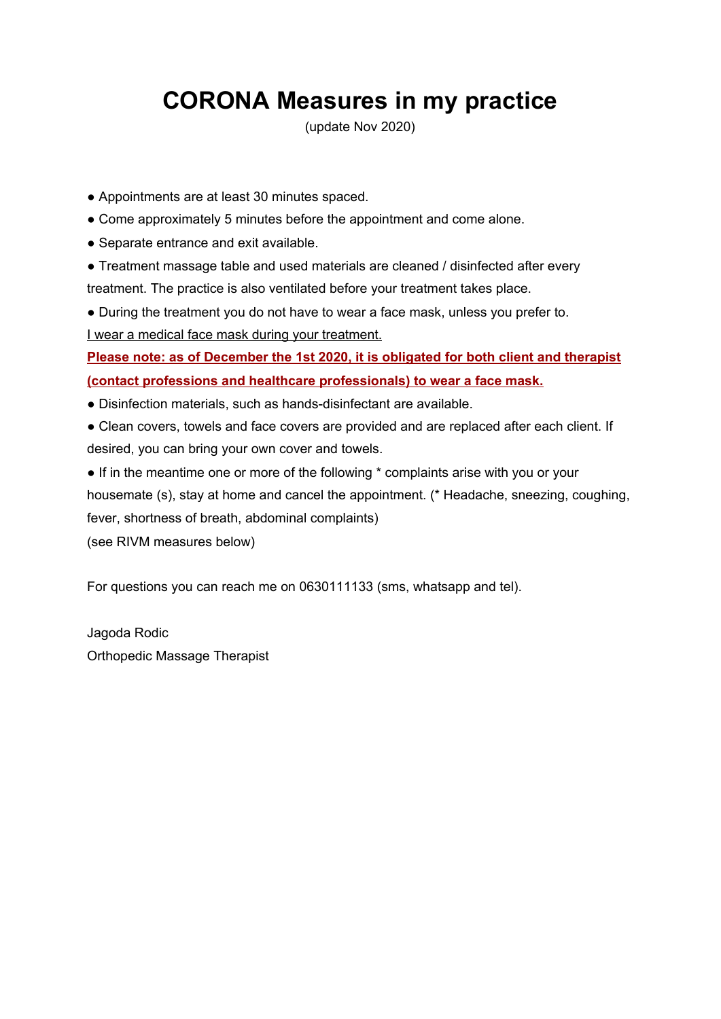## **CORONA Measures in my practice**

(update Nov 2020)

- Appointments are at least 30 minutes spaced.
- Come approximately 5 minutes before the appointment and come alone.
- Separate entrance and exit available.
- Treatment massage table and used materials are cleaned / disinfected after every treatment. The practice is also ventilated before your treatment takes place.
- During the treatment you do not have to wear a face mask, unless you prefer to. I wear a medical face mask during your treatment.

**Please note: as of December the 1st 2020, it is obligated for both client and therapist (contact professions and healthcare professionals) to wear a face mask.**

- Disinfection materials, such as hands-disinfectant are available.
- Clean covers, towels and face covers are provided and are replaced after each client. If desired, you can bring your own cover and towels.
- If in the meantime one or more of the following  $*$  complaints arise with you or your housemate (s), stay at home and cancel the appointment. (\* Headache, sneezing, coughing, fever, shortness of breath, abdominal complaints)

(see RIVM measures below)

For questions you can reach me on 0630111133 (sms, whatsapp and tel).

Jagoda Rodic Orthopedic Massage Therapist